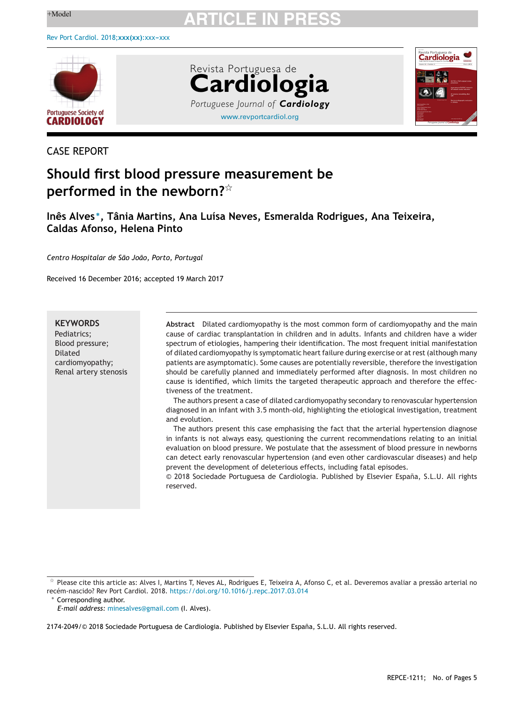# $+$ Model **ARTICLE IN PRESS**



## [www.revportcardiol.org](http://www.revportcardiol.org) Revista Portuguesa de **Cardiologia** *Portuguese Journal of Cardiology*



### CASE REPORT

# **Should first blood pressure measurement be performed in the newborn?**-

**Inês Alves <sup>∗</sup>, Tânia Martins, Ana Luísa Neves, Esmeralda Rodrigues, Ana Teixeira, Caldas Afonso, Helena Pinto**

*Centro Hospitalar de São João, Porto, Portugal*

Received 16 December 2016; accepted 19 March 2017

### **KEYWORDS**

Pediatrics; Blood pressure; Dilated cardiomyopathy; Renal artery stenosis **Abstract** Dilated cardiomyopathy is the most common form of cardiomyopathy and the main cause of cardiac transplantation in children and in adults. Infants and children have a wider spectrum of etiologies, hampering their identification. The most frequent initial manifestation of dilated cardiomyopathy is symptomatic heart failure during exercise or at rest (although many patients are asymptomatic). Some causes are potentially reversible, therefore the investigation should be carefully planned and immediately performed after diagnosis. In most children no cause is identified, which limits the targeted therapeutic approach and therefore the effectiveness of the treatment.

The authors present a case of dilated cardiomyopathy secondary to renovascular hypertension diagnosed in an infant with 3.5 month-old, highlighting the etiological investigation, treatment and evolution.

The authors present this case emphasising the fact that the arterial hypertension diagnose in infants is not always easy, questioning the current recommendations relating to an initial evaluation on blood pressure. We postulate that the assessment of blood pressure in newborns can detect early renovascular hypertension (and even other cardiovascular diseases) and help prevent the development of deleterious effects, including fatal episodes.

© 2018 Sociedade Portuguesa de Cardiologia. Published by Elsevier España, S.L.U. All rights reserved.

Corresponding author.

t, Please cite this article as: Alves I, Martins T, Neves AL, Rodrigues E, Teixeira A, Afonso C, et al. Deveremos avaliar a pressão arterial no recém-nascido? Rev Port Cardiol. 2018. <https://doi.org/10.1016/j.repc.2017.03.014>

*E-mail address:* [minesalves@gmail.com](mailto:minesalves@gmail.com) (I. Alves).

<sup>2174-2049/©</sup> 2018 Sociedade Portuguesa de Cardiologia. Published by Elsevier España, S.L.U. All rights reserved.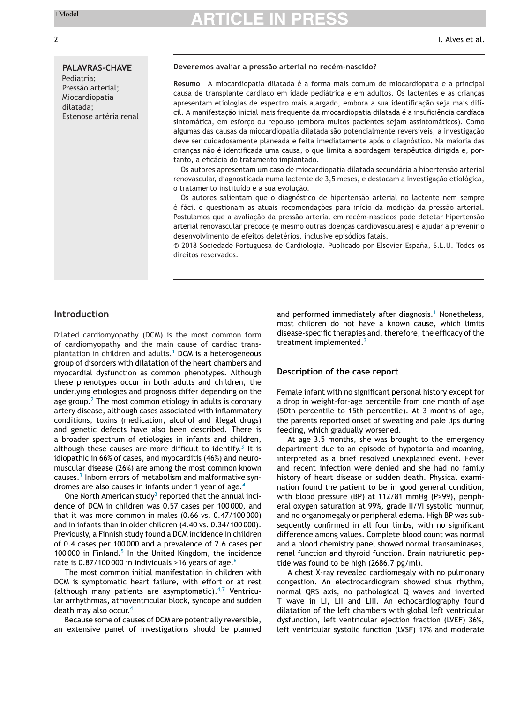# $+$ Model **ARTICLE IN PRESS**

### **PALAVRAS-CHAVE**

Pediatria; Pressão arterial; Miocardiopatia dilatada; Estenose artéria renal

#### **Deveremos avaliar a pressão arterial no recém-nascido?**

**Resumo** A miocardiopatia dilatada é a forma mais comum de miocardiopatia e a principal causa de transplante cardíaco em idade pediátrica e em adultos. Os lactentes e as crianças apresentam etiologias de espectro mais alargado, embora a sua identificação seja mais difícil. A manifestação inicial mais frequente da miocardiopatia dilatada é a insuficiência cardíaca sintomática, em esforco ou repouso (embora muitos pacientes sejam assintomáticos). Como algumas das causas da miocardiopatia dilatada são potencialmente reversíveis, a investigação deve ser cuidadosamente planeada e feita imediatamente após o diagnóstico. Na maioria das criancas não é identificada uma causa, o que limita a abordagem terapêutica dirigida e, portanto, a eficácia do tratamento implantado.

Os autores apresentam um caso de miocardiopatia dilatada secundária a hipertensão arterial renovascular, diagnosticada numa lactente de 3,5 meses, e destacam a investigação etiológica, o tratamento instituído e a sua evolução.

Os autores salientam que o diagnóstico de hipertensão arterial no lactente nem sempre é fácil e questionam as atuais recomendações para início da medição da pressão arterial. Postulamos que a avaliação da pressão arterial em recém-nascidos pode detetar hipertensão arterial renovascular precoce (e mesmo outras doenças cardiovasculares) e ajudar a prevenir o desenvolvimento de efeitos deletérios, inclusive episódios fatais.

© 2018 Sociedade Portuguesa de Cardiologia. Publicado por Elsevier España, S.L.U. Todos os direitos reservados.

### **Introduction**

Dilated cardiomyopathy (DCM) is the most common form of cardiomyopathy and the main cause of cardiac trans-plantation in children and adults.<sup>[1](#page--1-0)</sup> DCM is a heterogeneous group of disorders with dilatation of the heart chambers and myocardial dysfunction as common phenotypes. Although these phenotypes occur in both adults and children, the underlying etiologies and prognosis differ depending on the age group.<sup>2</sup> [T](#page--1-0)he most common etiology in adults is coronary artery disease, although cases associated with inflammatory conditions, toxins (medication, alcohol and illegal drugs) and genetic defects have also been described. There is a broader spectrum of etiologies in infants and children, although these causes are more difficult to identify.<sup>[3](#page--1-0)</sup> It is idiopathic in 66% of cases, and myocarditis (46%) and neuromuscular disease (26%) are among the most common known causes.[3](#page--1-0) Inborn errors of metabolism and malformative syndromes are also causes in infants under 1 year of age.[4](#page--1-0)

One No[r](#page--1-0)th American study<sup>3</sup> reported that the annual incidence of DCM in children was 0.57 cases per 100 000, and that it was more common in males (0.66 vs. 0.47/100 000) and in infants than in older children (4.40 vs. 0.34/100 000). Previously, a Finnish study found a DCM incidence in children of 0.4 cases per 100 000 and a prevalence of 2.6 cases per 100 000 in Finland.<sup>[5](#page--1-0)</sup> In the United Kingdom, the incidence rate is  $0.87/100000$  in individuals >1[6](#page--1-0) years of age.<sup>6</sup>

The most common initial manifestation in children with DCM is symptomatic heart failure, with effort or at rest (although many patients are asymptomatic). $4,7$  Ventricular arrhythmias, atrioventricular block, syncope and sudden death may also occur.[4](#page--1-0)

Because some of causes of DCM are potentially reversible, an extensive panel of investigations should be planned and performed immediately after diagnosis.<sup>[1](#page--1-0)</sup> Nonetheless, most children do not have a known cause, which limits disease-specific therapies and, therefore, the efficacy of the treatment implemented.<sup>[3](#page--1-0)</sup>

### **Description of the case report**

Female infant with no significant personal history except for a drop in weight-for-age percentile from one month of age (50th percentile to 15th percentile). At 3 months of age, the parents reported onset of sweating and pale lips during feeding, which gradually worsened.

At age 3.5 months, she was brought to the emergency department due to an episode of hypotonia and moaning, interpreted as a brief resolved unexplained event. Fever and recent infection were denied and she had no family history of heart disease or sudden death. Physical examination found the patient to be in good general condition, with blood pressure (BP) at 112/81 mmHg (P>99), peripheral oxygen saturation at 99%, grade II/VI systolic murmur, and no organomegaly or peripheral edema. High BP was subsequently confirmed in all four limbs, with no significant difference among values. Complete blood count was normal and a blood chemistry panel showed normal transaminases, renal function and thyroid function. Brain natriuretic peptide was found to be high (2686.7 pg/ml).

A chest X-ray revealed cardiomegaly with no pulmonary congestion. An electrocardiogram showed sinus rhythm, normal QRS axis, no pathological Q waves and inverted T wave in LI, LII and LIII. An echocardiography found dilatation of the left chambers with global left ventricular dysfunction, left ventricular ejection fraction (LVEF) 36%, left ventricular systolic function (LVSF) 17% and moderate